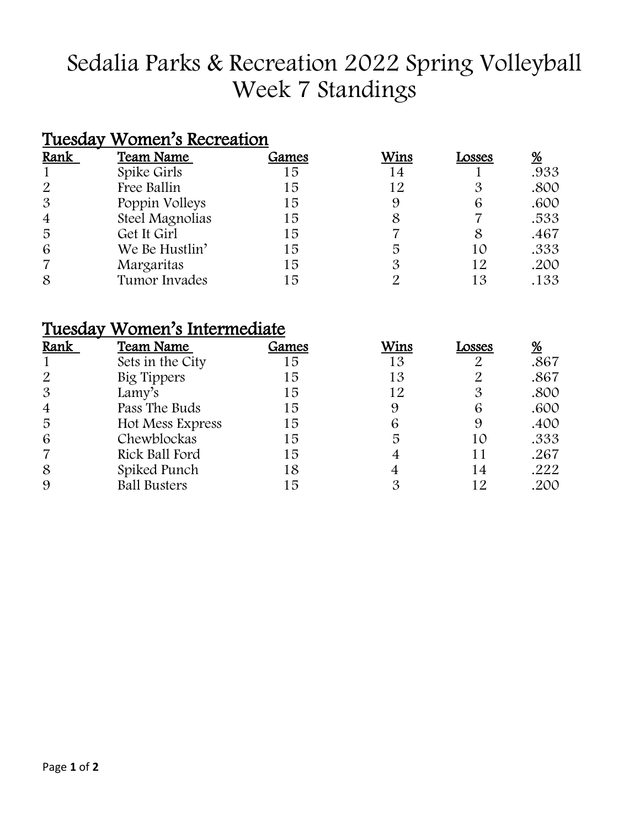# Sedalia Parks & Recreation 2022 Spring Volleyball Week 7 Standings

### Tuesday Women's Recreation

| Rank           | Team Name       | Games | Wins | Losses | <u>%</u> |
|----------------|-----------------|-------|------|--------|----------|
|                | Spike Girls     | 15    | 14   |        | .933     |
| 2              | Free Ballin     | 15    | 12   |        | .800     |
| $\mathfrak{B}$ | Poppin Volleys  | 15    |      | 6      | .600     |
| $\overline{4}$ | Steel Magnolias | 15    |      |        | .533     |
| 5              | Get It Girl     | 15    |      | 8      | .467     |
| 6              | We Be Hustlin'  | 15    | 5    | 10     | .333     |
|                | Margaritas      | 15    |      | 12     | .200     |
| 8              | Tumor Invades   | 15    |      | 13     | .133     |

### Tuesday Women's Intermediate

| Rank           | <b>Team Name</b>    | Games | Wins | Losses | <u>%</u> |
|----------------|---------------------|-------|------|--------|----------|
|                | Sets in the City    | 15    | 13   |        | .867     |
| 2              | Big Tippers         | 15    | 13   |        | .867     |
| $\mathcal{S}$  | Lamy's              | 15    | 12   | 3      | .800     |
| $\overline{4}$ | Pass The Buds       | 15    |      | 6      | .600     |
| 5              | Hot Mess Express    | 15    | 6    | 9      | .400     |
| 6              | Chewblockas         | 15    | 5    | 10     | .333     |
|                | Rick Ball Ford      | 15    |      |        | .267     |
| 8              | Spiked Punch        | 18    |      | 14     | .222     |
| 9              | <b>Ball Busters</b> | 15    |      | 12     | .200     |